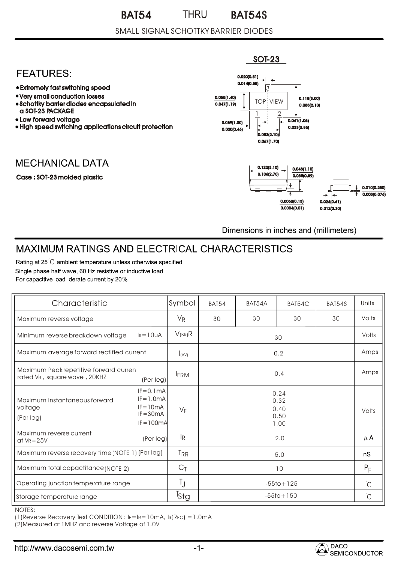#### BAT54 THRU BAT54S THRU

### SMALL SIGNAL SCHOTTKY BARRIER DIODES

## **FEATURES:**

- Extremely fast switching speed
- Very small conduction losses
- Schottky barrier diodes encapsulated in a SOT-23 PACKAGE
- Low forward voltage
- High speed switching applications circuit protection

# **MECHANICAL DATA**

#### Case : SOT-23 molded plastic



Dimensions in inches and (millimeters)

# **MAXIMUM RATINGS AND ELECTRICAL CHARACTERISTICS**

Rating at 25 °C ambient temperature unless otherwise specified. Single phase half wave, 60 Hz resistive or inductive load. For capacitive load, derate current by 20%.

| Characteristic                                                         |                                                                            | Symbol                    | <b>BAT54</b>   | BAT54A | BAT54C                               | BAT54S       | Units   |
|------------------------------------------------------------------------|----------------------------------------------------------------------------|---------------------------|----------------|--------|--------------------------------------|--------------|---------|
| Maximum reverse voltage                                                |                                                                            | $V_{R}$                   | 30             | 30     | 30                                   | 30           | Volts   |
| Minimum reverse breakdown voltage                                      | $I_R = 10uA$                                                               | $V_{(BR)}R$               | 30             |        |                                      | Volts        |         |
| Maximum average forward rectified current                              |                                                                            | I(AV)                     | 0.2            |        |                                      |              | Amps    |
| Maximum Peak repetitive forward curren<br>rated VR, square wave, 20KHZ | 0.4<br><b>FRM</b><br>(Per leg)                                             |                           |                |        | Amps                                 |              |         |
| Maximum instantaneous forward<br>voltage<br>(Per leg)                  | $IF = 0.1mA$<br>$IF = 1.0mA$<br>$IF = 10mA$<br>$IF = 30mA$<br>$IF = 100mA$ | $V_F$                     |                |        | 0.24<br>0.32<br>0.40<br>0.50<br>1.00 |              | Volts   |
| Maximum reverse current<br>at $V_R = 25V$                              | (Per leg)                                                                  | $\mathsf{I}_{\mathsf{R}}$ |                |        | 2.0                                  |              | $\mu$ A |
| Maximum reverse recovery time (NOTE 1) (Per leg)                       |                                                                            | <b>TRR</b>                | 5.0            |        |                                      | nS           |         |
| Maximum total capactitance (NOTE 2)                                    |                                                                            | $C_{\bar{1}}$             | 10             |        |                                      | $P_F$        |         |
| Operating junction temperature range                                   |                                                                            | Ţ                         | $-55$ to + 125 |        |                                      | $^{\circ}C$  |         |
| Storage temperature range                                              |                                                                            | $T_{\text{Stg}}$          | $-55$ to + 150 |        |                                      | $\mathrm{C}$ |         |

NOTES:

(1)Reverse Recovery Test CONDITION : IF=IR=10mA, IR(REC) =1.0mA

(2)Measured at 1MHZ and reverse Voltage of 1.0V

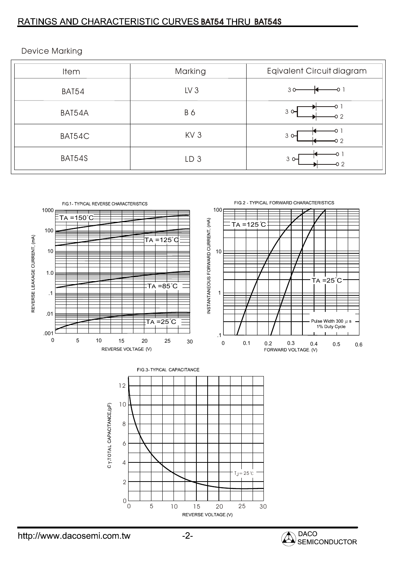### RATINGS AND CHARACTERISTIC CURVES BAT54 THRU BAT54S

| <b>Item</b> | Marking         | Eqivalent Circuit diagram |
|-------------|-----------------|---------------------------|
| BAT54       | LV <sub>3</sub> | 30                        |
| BAT54A      | B 6             | $3^{\circ}$               |
| BAT54C      | KV <sub>3</sub> | $3^\circ$<br>02           |
| BAT54S      | LD <sub>3</sub> | $3^{\circ}$               |



Device Marking

http://www.dacosemi.com.tw

REVERSE VOLTAGE (V)

20 25 30

 $\begin{array}{cccc} 0 & 5 & 10 & 15 \end{array}$